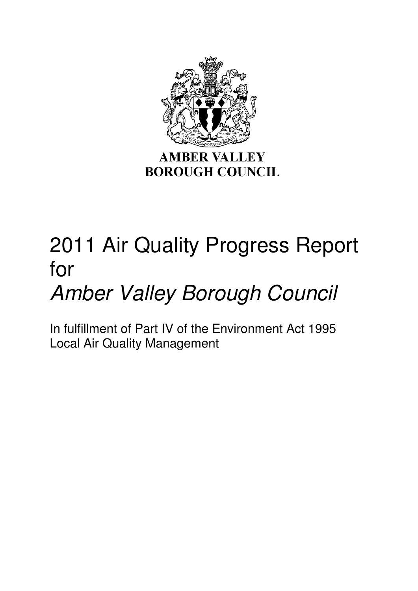

# 2011 Air Quality Progress Report for

# Amber Valley Borough Council

In fulfillment of Part IV of the Environment Act 1995 Local Air Quality Management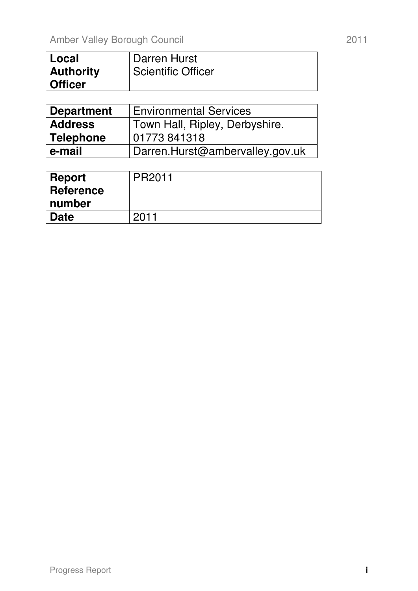| l Local          | Darren Hurst              |
|------------------|---------------------------|
| <b>Authority</b> | <b>Scientific Officer</b> |
| <b>Officer</b>   |                           |

| <b>Department</b> | <b>Environmental Services</b>   |  |  |  |
|-------------------|---------------------------------|--|--|--|
| <b>Address</b>    | Town Hall, Ripley, Derbyshire.  |  |  |  |
| <b>Telephone</b>  | 01773841318                     |  |  |  |
| e-mail            | Darren.Hurst@ambervalley.gov.uk |  |  |  |

| Report    | PR2011 |
|-----------|--------|
| Reference |        |
| ∣ number  |        |
| Date      | 2011   |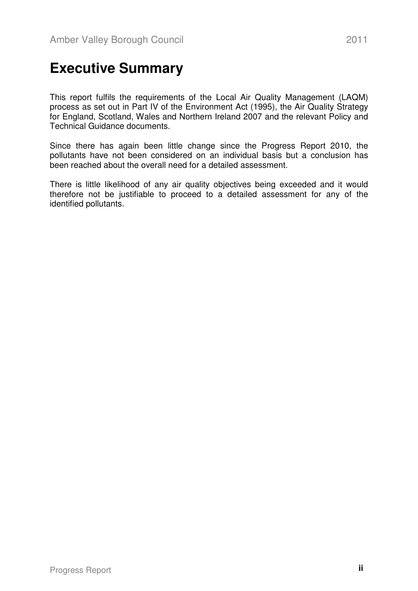### **Executive Summary**

This report fulfils the requirements of the Local Air Quality Management (LAQM) process as set out in Part IV of the Environment Act (1995), the Air Quality Strategy for England, Scotland, Wales and Northern Ireland 2007 and the relevant Policy and Technical Guidance documents.

Since there has again been little change since the Progress Report 2010, the pollutants have not been considered on an individual basis but a conclusion has been reached about the overall need for a detailed assessment.

There is little likelihood of any air quality objectives being exceeded and it would therefore not be justifiable to proceed to a detailed assessment for any of the identified pollutants.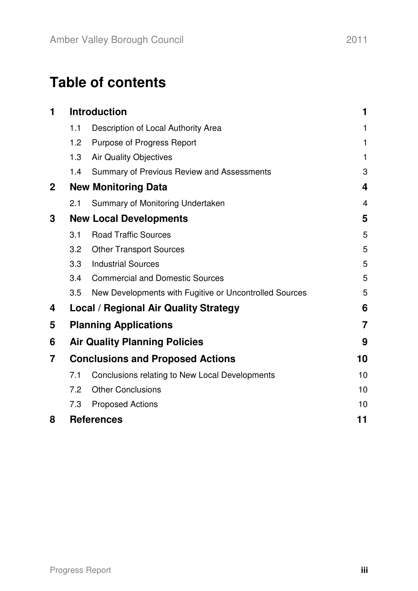# **Table of contents**

| 1            | <b>Introduction</b>                     |                                                        | 1              |  |
|--------------|-----------------------------------------|--------------------------------------------------------|----------------|--|
|              | 1.1                                     | Description of Local Authority Area                    | 1              |  |
|              | 1.2                                     | Purpose of Progress Report                             | 1              |  |
|              | 1.3                                     | <b>Air Quality Objectives</b>                          | 1              |  |
|              | 1.4                                     | <b>Summary of Previous Review and Assessments</b>      | 3              |  |
| $\mathbf{2}$ |                                         | <b>New Monitoring Data</b>                             |                |  |
|              | 2.1                                     | Summary of Monitoring Undertaken                       | $\overline{4}$ |  |
| 3            | <b>New Local Developments</b>           |                                                        |                |  |
|              | 3.1                                     | <b>Road Traffic Sources</b>                            | 5              |  |
|              | 3.2                                     | <b>Other Transport Sources</b>                         | 5              |  |
|              | 3.3                                     | <b>Industrial Sources</b>                              | 5              |  |
|              | 3.4                                     | <b>Commercial and Domestic Sources</b>                 | 5              |  |
|              | 3.5                                     | New Developments with Fugitive or Uncontrolled Sources | 5              |  |
| 4            |                                         | <b>Local / Regional Air Quality Strategy</b>           | 6              |  |
| 5            |                                         | <b>Planning Applications</b>                           | $\overline{7}$ |  |
| 6            |                                         | <b>Air Quality Planning Policies</b>                   | 9              |  |
| 7            | <b>Conclusions and Proposed Actions</b> |                                                        | 10             |  |
|              | 7.1                                     | Conclusions relating to New Local Developments         | 10             |  |
|              | 7.2                                     | <b>Other Conclusions</b>                               | 10             |  |
|              | 7.3                                     | <b>Proposed Actions</b>                                | 10             |  |
| 8            |                                         | <b>References</b>                                      | 11             |  |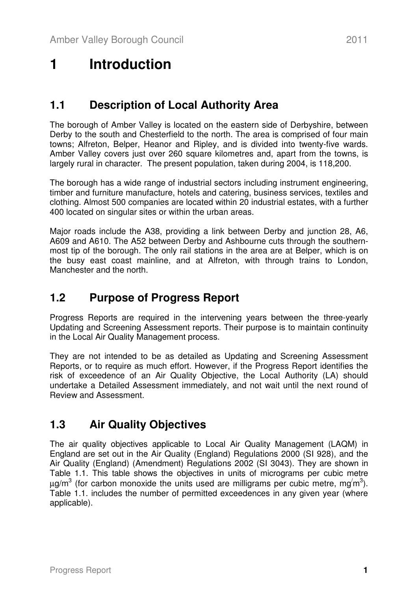# **1 Introduction**

#### **1.1 Description of Local Authority Area**

The borough of Amber Valley is located on the eastern side of Derbyshire, between Derby to the south and Chesterfield to the north. The area is comprised of four main towns; Alfreton, Belper, Heanor and Ripley, and is divided into twenty-five wards. Amber Valley covers just over 260 square kilometres and, apart from the towns, is largely rural in character. The present population, taken during 2004, is 118,200.

The borough has a wide range of industrial sectors including instrument engineering, timber and furniture manufacture, hotels and catering, business services, textiles and clothing. Almost 500 companies are located within 20 industrial estates, with a further 400 located on singular sites or within the urban areas.

Major roads include the A38, providing a link between Derby and junction 28, A6, A609 and A610. The A52 between Derby and Ashbourne cuts through the southernmost tip of the borough. The only rail stations in the area are at Belper, which is on the busy east coast mainline, and at Alfreton, with through trains to London, Manchester and the north.

### **1.2 Purpose of Progress Report**

Progress Reports are required in the intervening years between the three-yearly Updating and Screening Assessment reports. Their purpose is to maintain continuity in the Local Air Quality Management process.

They are not intended to be as detailed as Updating and Screening Assessment Reports, or to require as much effort. However, if the Progress Report identifies the risk of exceedence of an Air Quality Objective, the Local Authority (LA) should undertake a Detailed Assessment immediately, and not wait until the next round of Review and Assessment.

#### **1.3 Air Quality Objectives**

The air quality objectives applicable to Local Air Quality Management (LAQM) in England are set out in the Air Quality (England) Regulations 2000 (SI 928), and the Air Quality (England) (Amendment) Regulations 2002 (SI 3043). They are shown in Table 1.1. This table shows the objectives in units of micrograms per cubic metre  $\mu$ g/m<sup>3</sup> (for carbon monoxide the units used are milligrams per cubic metre, mg<sup>/</sup>m<sup>3</sup>). Table 1.1. includes the number of permitted exceedences in any given year (where applicable).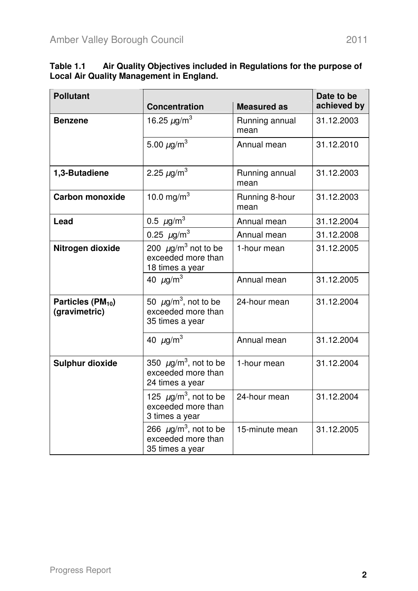$\overline{\phantom{a}}$ 

| <b>Pollutant</b>                               | <b>Concentration</b>                                                            | <b>Measured as</b>     | Date to be<br>achieved by |  |
|------------------------------------------------|---------------------------------------------------------------------------------|------------------------|---------------------------|--|
| <b>Benzene</b>                                 | 16.25 $\mu$ g/m <sup>3</sup>                                                    | Running annual<br>mean | 31.12.2003                |  |
|                                                | 5.00 $\mu$ g/m <sup>3</sup>                                                     | Annual mean            | 31.12.2010                |  |
| 1,3-Butadiene                                  | 2.25 $\mu$ g/m <sup>3</sup>                                                     | Running annual<br>mean | 31.12.2003                |  |
| <b>Carbon monoxide</b>                         | 10.0 mg/m $^{3}$                                                                | Running 8-hour<br>mean | 31.12.2003                |  |
| Lead                                           | 0.5 $\mu$ g/m <sup>3</sup>                                                      | Annual mean            | 31.12.2004                |  |
|                                                | 0.25 $\mu$ g/m <sup>3</sup>                                                     | Annual mean            | 31.12.2008                |  |
| Nitrogen dioxide                               | 200 $\mu$ g/m <sup>3</sup> not to be<br>exceeded more than<br>18 times a year   | 1-hour mean            | 31.12.2005                |  |
|                                                | 40 $\mu$ g/m <sup>3</sup>                                                       | Annual mean            | 31.12.2005                |  |
| Particles (PM <sub>10</sub> )<br>(gravimetric) | 50 $\mu$ g/m <sup>3</sup> , not to be<br>exceeded more than<br>35 times a year  | 24-hour mean           | 31.12.2004                |  |
|                                                | 40 $\mu$ g/m <sup>3</sup>                                                       | Annual mean            | 31.12.2004                |  |
| <b>Sulphur dioxide</b>                         | 350 $\mu$ g/m <sup>3</sup> , not to be<br>exceeded more than<br>24 times a year | 1-hour mean            | 31.12.2004                |  |
|                                                | 125 $\mu$ g/m <sup>3</sup> , not to be<br>exceeded more than<br>3 times a year  | 24-hour mean           | 31.12.2004                |  |
|                                                | 266 $\mu$ g/m <sup>3</sup> , not to be<br>exceeded more than<br>35 times a year | 15-minute mean         | 31.12.2005                |  |

**Table 1.1 Air Quality Objectives included in Regulations for the purpose of Local Air Quality Management in England.** 

 $\overline{\phantom{a}}$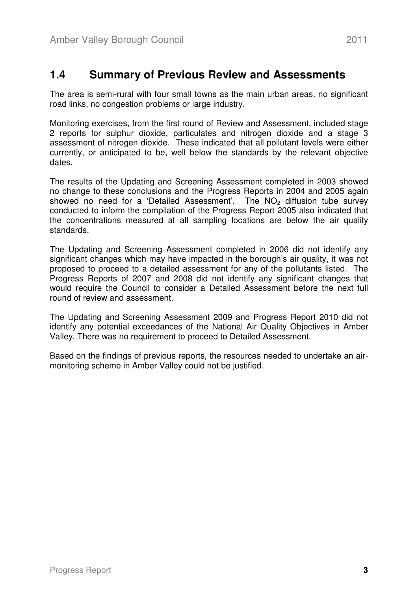#### **1.4 Summary of Previous Review and Assessments**

The area is semi-rural with four small towns as the main urban areas, no significant road links, no congestion problems or large industry.

Monitoring exercises, from the first round of Review and Assessment, included stage 2 reports for sulphur dioxide, particulates and nitrogen dioxide and a stage 3 assessment of nitrogen dioxide. These indicated that all pollutant levels were either currently, or anticipated to be, well below the standards by the relevant objective dates.

The results of the Updating and Screening Assessment completed in 2003 showed no change to these conclusions and the Progress Reports in 2004 and 2005 again showed no need for a 'Detailed Assessment'. The  $NO<sub>2</sub>$  diffusion tube survey conducted to inform the compilation of the Progress Report 2005 also indicated that the concentrations measured at all sampling locations are below the air quality standards.

The Updating and Screening Assessment completed in 2006 did not identify any significant changes which may have impacted in the borough's air quality, it was not proposed to proceed to a detailed assessment for any of the pollutants listed. The Progress Reports of 2007 and 2008 did not identify any significant changes that would require the Council to consider a Detailed Assessment before the next full round of review and assessment.

The Updating and Screening Assessment 2009 and Progress Report 2010 did not identify any potential exceedances of the National Air Quality Objectives in Amber Valley. There was no requirement to proceed to Detailed Assessment.

Based on the findings of previous reports, the resources needed to undertake an airmonitoring scheme in Amber Valley could not be justified.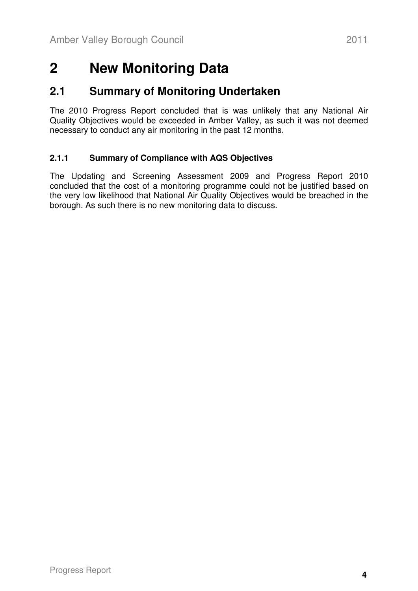# **2 New Monitoring Data**

#### **2.1 Summary of Monitoring Undertaken**

The 2010 Progress Report concluded that is was unlikely that any National Air Quality Objectives would be exceeded in Amber Valley, as such it was not deemed necessary to conduct any air monitoring in the past 12 months.

#### **2.1.1 Summary of Compliance with AQS Objectives**

The Updating and Screening Assessment 2009 and Progress Report 2010 concluded that the cost of a monitoring programme could not be justified based on the very low likelihood that National Air Quality Objectives would be breached in the borough. As such there is no new monitoring data to discuss.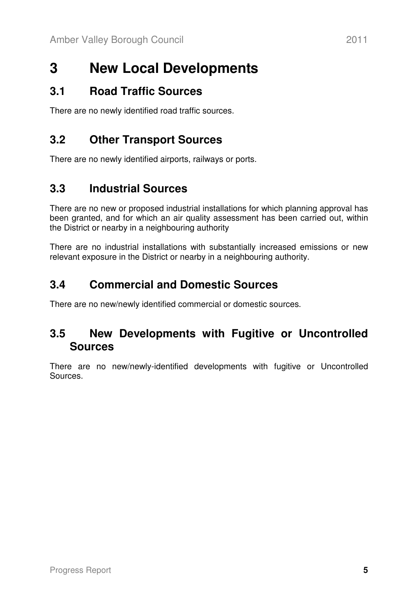# **3 New Local Developments**

#### **3.1 Road Traffic Sources**

There are no newly identified road traffic sources.

### **3.2 Other Transport Sources**

There are no newly identified airports, railways or ports.

### **3.3 Industrial Sources**

There are no new or proposed industrial installations for which planning approval has been granted, and for which an air quality assessment has been carried out, within the District or nearby in a neighbouring authority

There are no industrial installations with substantially increased emissions or new relevant exposure in the District or nearby in a neighbouring authority.

### **3.4 Commercial and Domestic Sources**

There are no new/newly identified commercial or domestic sources.

#### **3.5 New Developments with Fugitive or Uncontrolled Sources**

There are no new/newly-identified developments with fugitive or Uncontrolled Sources.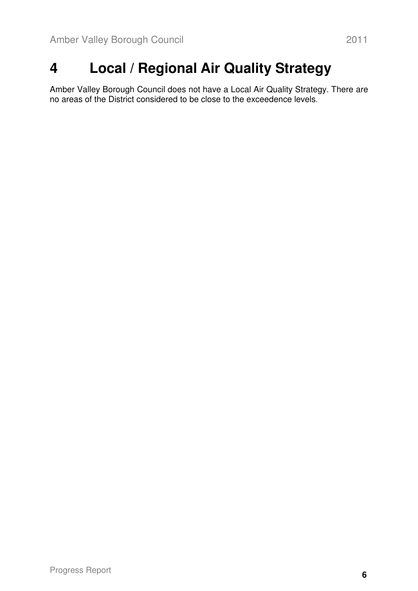# **4 Local / Regional Air Quality Strategy**

Amber Valley Borough Council does not have a Local Air Quality Strategy. There are no areas of the District considered to be close to the exceedence levels.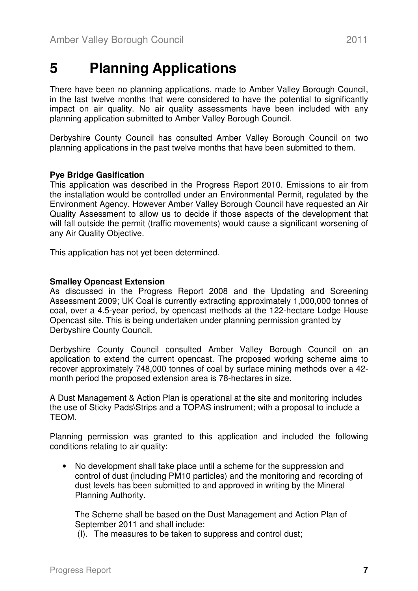### **5 Planning Applications**

There have been no planning applications, made to Amber Valley Borough Council, in the last twelve months that were considered to have the potential to significantly impact on air quality. No air quality assessments have been included with any planning application submitted to Amber Valley Borough Council.

Derbyshire County Council has consulted Amber Valley Borough Council on two planning applications in the past twelve months that have been submitted to them.

#### **Pye Bridge Gasification**

This application was described in the Progress Report 2010. Emissions to air from the installation would be controlled under an Environmental Permit, regulated by the Environment Agency. However Amber Valley Borough Council have requested an Air Quality Assessment to allow us to decide if those aspects of the development that will fall outside the permit (traffic movements) would cause a significant worsening of any Air Quality Objective.

This application has not yet been determined.

#### **Smalley Opencast Extension**

As discussed in the Progress Report 2008 and the Updating and Screening Assessment 2009; UK Coal is currently extracting approximately 1,000,000 tonnes of coal, over a 4.5-year period, by opencast methods at the 122-hectare Lodge House Opencast site. This is being undertaken under planning permission granted by Derbyshire County Council.

Derbyshire County Council consulted Amber Valley Borough Council on an application to extend the current opencast. The proposed working scheme aims to recover approximately 748,000 tonnes of coal by surface mining methods over a 42 month period the proposed extension area is 78-hectares in size.

A Dust Management & Action Plan is operational at the site and monitoring includes the use of Sticky Pads\Strips and a TOPAS instrument; with a proposal to include a TEOM.

Planning permission was granted to this application and included the following conditions relating to air quality:

• No development shall take place until a scheme for the suppression and control of dust (including PM10 particles) and the monitoring and recording of dust levels has been submitted to and approved in writing by the Mineral Planning Authority.

The Scheme shall be based on the Dust Management and Action Plan of September 2011 and shall include:

(I). The measures to be taken to suppress and control dust;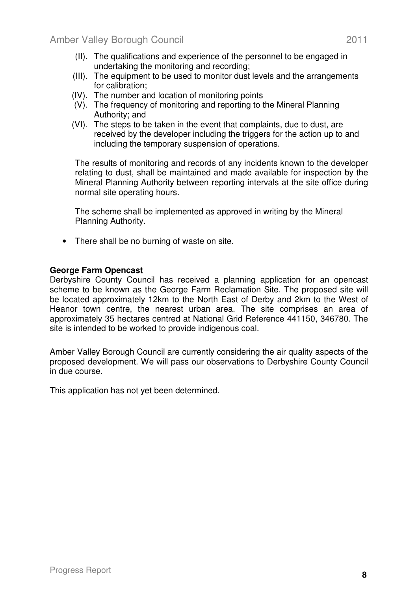- (II). The qualifications and experience of the personnel to be engaged in undertaking the monitoring and recording;
- (III). The equipment to be used to monitor dust levels and the arrangements for calibration;
- (IV). The number and location of monitoring points
- (V). The frequency of monitoring and reporting to the Mineral Planning Authority; and
- (VI). The steps to be taken in the event that complaints, due to dust, are received by the developer including the triggers for the action up to and including the temporary suspension of operations.

The results of monitoring and records of any incidents known to the developer relating to dust, shall be maintained and made available for inspection by the Mineral Planning Authority between reporting intervals at the site office during normal site operating hours.

The scheme shall be implemented as approved in writing by the Mineral Planning Authority.

• There shall be no burning of waste on site.

#### **George Farm Opencast**

Derbyshire County Council has received a planning application for an opencast scheme to be known as the George Farm Reclamation Site. The proposed site will be located approximately 12km to the North East of Derby and 2km to the West of Heanor town centre, the nearest urban area. The site comprises an area of approximately 35 hectares centred at National Grid Reference 441150, 346780. The site is intended to be worked to provide indigenous coal.

Amber Valley Borough Council are currently considering the air quality aspects of the proposed development. We will pass our observations to Derbyshire County Council in due course.

This application has not yet been determined.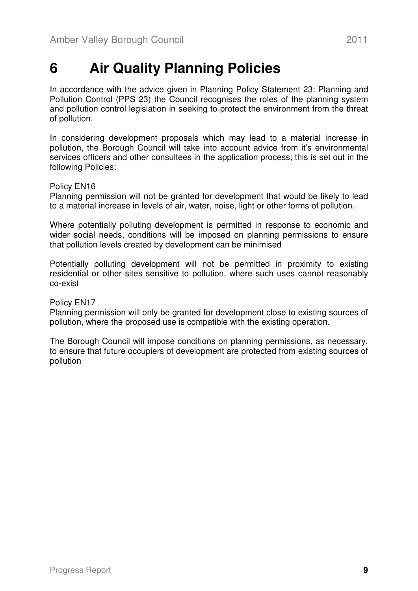# **6 Air Quality Planning Policies**

In accordance with the advice given in Planning Policy Statement 23: Planning and Pollution Control (PPS 23) the Council recognises the roles of the planning system and pollution control legislation in seeking to protect the environment from the threat of pollution.

In considering development proposals which may lead to a material increase in pollution, the Borough Council will take into account advice from it's environmental services officers and other consultees in the application process; this is set out in the following Policies:

#### Policy EN16

Planning permission will not be granted for development that would be likely to lead to a material increase in levels of air, water, noise, light or other forms of pollution.

Where potentially polluting development is permitted in response to economic and wider social needs, conditions will be imposed on planning permissions to ensure that pollution levels created by development can be minimised

Potentially polluting development will not be permitted in proximity to existing residential or other sites sensitive to pollution, where such uses cannot reasonably co-exist

#### Policy EN17

Planning permission will only be granted for development close to existing sources of pollution, where the proposed use is compatible with the existing operation.

The Borough Council will impose conditions on planning permissions, as necessary, to ensure that future occupiers of development are protected from existing sources of pollution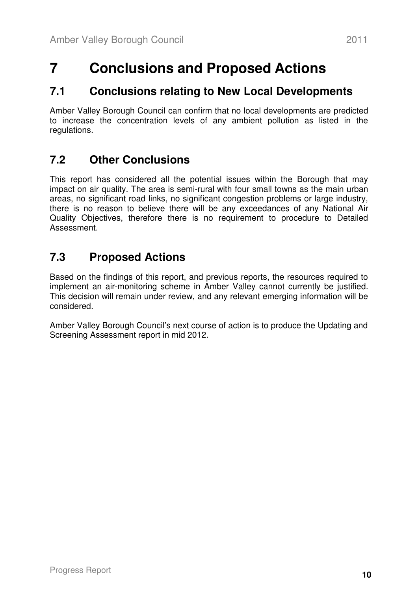# **7 Conclusions and Proposed Actions**

#### **7.1 Conclusions relating to New Local Developments**

Amber Valley Borough Council can confirm that no local developments are predicted to increase the concentration levels of any ambient pollution as listed in the regulations.

### **7.2 Other Conclusions**

This report has considered all the potential issues within the Borough that may impact on air quality. The area is semi-rural with four small towns as the main urban areas, no significant road links, no significant congestion problems or large industry, there is no reason to believe there will be any exceedances of any National Air Quality Objectives, therefore there is no requirement to procedure to Detailed Assessment.

### **7.3 Proposed Actions**

Based on the findings of this report, and previous reports, the resources required to implement an air-monitoring scheme in Amber Valley cannot currently be justified. This decision will remain under review, and any relevant emerging information will be considered.

Amber Valley Borough Council's next course of action is to produce the Updating and Screening Assessment report in mid 2012.